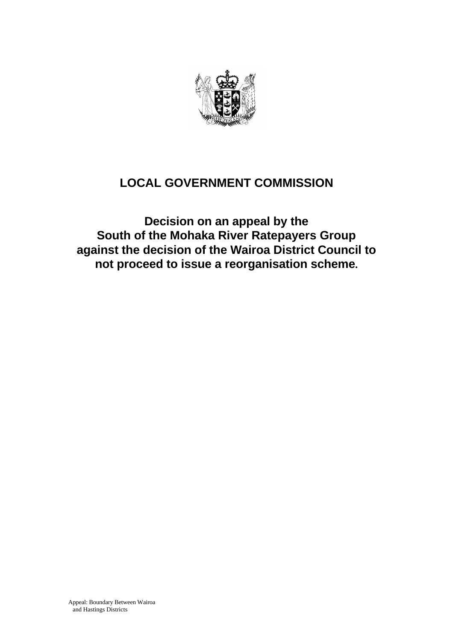

# **LOCAL GOVERNMENT COMMISSION**

**Decision on an appeal by the South of the Mohaka River Ratepayers Group against the decision of the Wairoa District Council to not proceed to issue a reorganisation scheme.**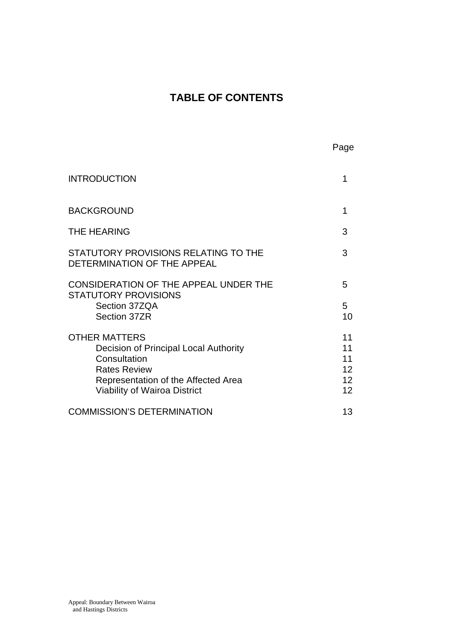# **TABLE OF CONTENTS**

| <b>INTRODUCTION</b>                                                                                                                                                                       |                                  |
|-------------------------------------------------------------------------------------------------------------------------------------------------------------------------------------------|----------------------------------|
| <b>BACKGROUND</b>                                                                                                                                                                         | 1                                |
| <b>THE HEARING</b>                                                                                                                                                                        | 3                                |
| STATUTORY PROVISIONS RELATING TO THE<br>DETERMINATION OF THE APPEAL                                                                                                                       | 3                                |
| CONSIDERATION OF THE APPEAL UNDER THE<br><b>STATUTORY PROVISIONS</b><br>Section 37ZQA<br>Section 37ZR                                                                                     | 5<br>5.<br>10                    |
| <b>OTHER MATTERS</b><br><b>Decision of Principal Local Authority</b><br>Consultation<br><b>Rates Review</b><br>Representation of the Affected Area<br><b>Viability of Wairoa District</b> | 11<br>11<br>11<br>12<br>12<br>12 |
| <b>COMMISSION'S DETERMINATION</b>                                                                                                                                                         | 13                               |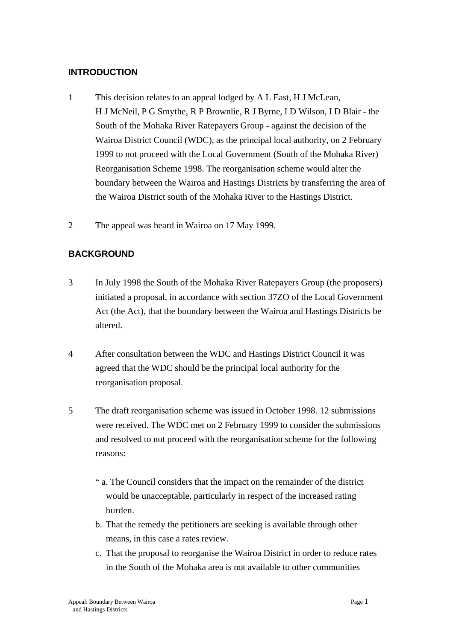## **INTRODUCTION**

- 1 This decision relates to an appeal lodged by A L East, H J McLean, H J McNeil, P G Smythe, R P Brownlie, R J Byrne, I D Wilson, I D Blair - the South of the Mohaka River Ratepayers Group - against the decision of the Wairoa District Council (WDC), as the principal local authority, on 2 February 1999 to not proceed with the Local Government (South of the Mohaka River) Reorganisation Scheme 1998. The reorganisation scheme would alter the boundary between the Wairoa and Hastings Districts by transferring the area of the Wairoa District south of the Mohaka River to the Hastings District.
- 2 The appeal was heard in Wairoa on 17 May 1999.

# **BACKGROUND**

- 3 In July 1998 the South of the Mohaka River Ratepayers Group (the proposers) initiated a proposal, in accordance with section 37ZO of the Local Government Act (the Act), that the boundary between the Wairoa and Hastings Districts be altered.
- 4 After consultation between the WDC and Hastings District Council it was agreed that the WDC should be the principal local authority for the reorganisation proposal.
- 5 The draft reorganisation scheme was issued in October 1998. 12 submissions were received. The WDC met on 2 February 1999 to consider the submissions and resolved to not proceed with the reorganisation scheme for the following reasons:
	- " a. The Council considers that the impact on the remainder of the district would be unacceptable, particularly in respect of the increased rating burden.
	- b. That the remedy the petitioners are seeking is available through other means, in this case a rates review.
	- c. That the proposal to reorganise the Wairoa District in order to reduce rates in the South of the Mohaka area is not available to other communities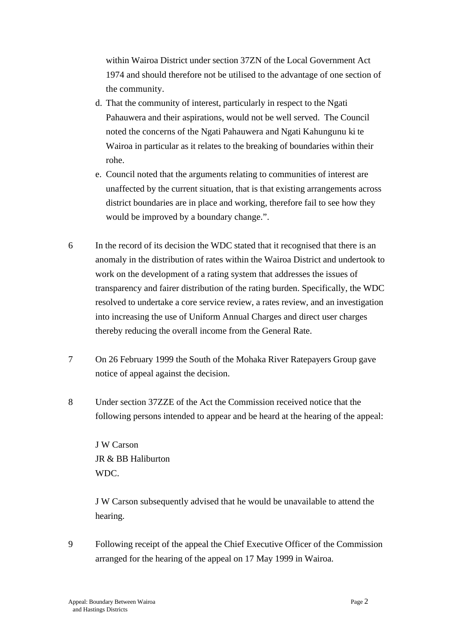within Wairoa District under section 37ZN of the Local Government Act 1974 and should therefore not be utilised to the advantage of one section of the community.

- d. That the community of interest, particularly in respect to the Ngati Pahauwera and their aspirations, would not be well served. The Council noted the concerns of the Ngati Pahauwera and Ngati Kahungunu ki te Wairoa in particular as it relates to the breaking of boundaries within their rohe.
- e. Council noted that the arguments relating to communities of interest are unaffected by the current situation, that is that existing arrangements across district boundaries are in place and working, therefore fail to see how they would be improved by a boundary change.".
- 6 In the record of its decision the WDC stated that it recognised that there is an anomaly in the distribution of rates within the Wairoa District and undertook to work on the development of a rating system that addresses the issues of transparency and fairer distribution of the rating burden. Specifically, the WDC resolved to undertake a core service review, a rates review, and an investigation into increasing the use of Uniform Annual Charges and direct user charges thereby reducing the overall income from the General Rate.
- 7 On 26 February 1999 the South of the Mohaka River Ratepayers Group gave notice of appeal against the decision.
- 8 Under section 37ZZE of the Act the Commission received notice that the following persons intended to appear and be heard at the hearing of the appeal:

J W Carson JR & BB Haliburton WDC.

J W Carson subsequently advised that he would be unavailable to attend the hearing.

9 Following receipt of the appeal the Chief Executive Officer of the Commission arranged for the hearing of the appeal on 17 May 1999 in Wairoa.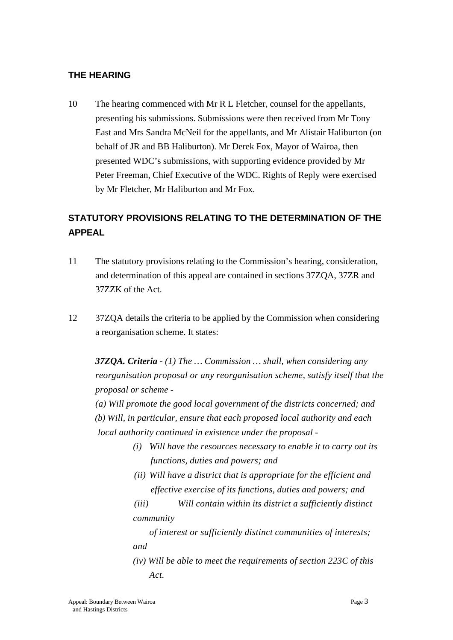### **THE HEARING**

10 The hearing commenced with Mr R L Fletcher, counsel for the appellants, presenting his submissions. Submissions were then received from Mr Tony East and Mrs Sandra McNeil for the appellants, and Mr Alistair Haliburton (on behalf of JR and BB Haliburton). Mr Derek Fox, Mayor of Wairoa, then presented WDC's submissions, with supporting evidence provided by Mr Peter Freeman, Chief Executive of the WDC. Rights of Reply were exercised by Mr Fletcher, Mr Haliburton and Mr Fox.

# **STATUTORY PROVISIONS RELATING TO THE DETERMINATION OF THE APPEAL**

- 11 The statutory provisions relating to the Commission's hearing, consideration, and determination of this appeal are contained in sections 37ZQA, 37ZR and 37ZZK of the Act.
- 12 37ZQA details the criteria to be applied by the Commission when considering a reorganisation scheme. It states:

*37ZQA. Criteria - (1) The … Commission … shall, when considering any reorganisation proposal or any reorganisation scheme, satisfy itself that the proposal or scheme -*

*(a) Will promote the good local government of the districts concerned; and (b) Will, in particular, ensure that each proposed local authority and each local authority continued in existence under the proposal -*

- *(i) Will have the resources necessary to enable it to carry out its functions, duties and powers; and*
- *(ii) Will have a district that is appropriate for the efficient and effective exercise of its functions, duties and powers; and*
- *(iii) Will contain within its district a sufficiently distinct community*

*of interest or sufficiently distinct communities of interests; and*

*(iv) Will be able to meet the requirements of section 223C of this Act.*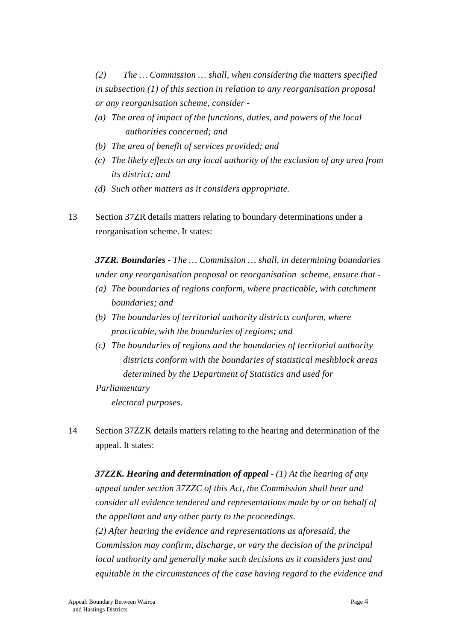*(2) The … Commission … shall, when considering the matters specified in subsection (1) of this section in relation to any reorganisation proposal or any reorganisation scheme, consider -*

- *(a) The area of impact of the functions, duties, and powers of the local authorities concerned; and*
- *(b) The area of benefit of services provided; and*
- *(c) The likely effects on any local authority of the exclusion of any area from its district; and*
- *(d) Such other matters as it considers appropriate.*
- 13 Section 37ZR details matters relating to boundary determinations under a reorganisation scheme. It states:

*37ZR. Boundaries* - *The … Commission … shall, in determining boundaries under any reorganisation proposal or reorganisation scheme, ensure that -*

- *(a) The boundaries of regions conform, where practicable, with catchment boundaries; and*
- *(b) The boundaries of territorial authority districts conform, where practicable, with the boundaries of regions; and*
- *(c) The boundaries of regions and the boundaries of territorial authority districts conform with the boundaries of statistical meshblock areas determined by the Department of Statistics and used for*
- *Parliamentary*

*electoral purposes.*

14 Section 37ZZK details matters relating to the hearing and determination of the appeal. It states:

*37ZZK. Hearing and determination of appeal* - *(1) At the hearing of any appeal under section 37ZZC of this Act, the Commission shall hear and consider all evidence tendered and representations made by or on behalf of the appellant and any other party to the proceedings. (2) After hearing the evidence and representations as aforesaid, the Commission may confirm, discharge, or vary the decision of the principal local authority and generally make such decisions as it considers just and equitable in the circumstances of the case having regard to the evidence and*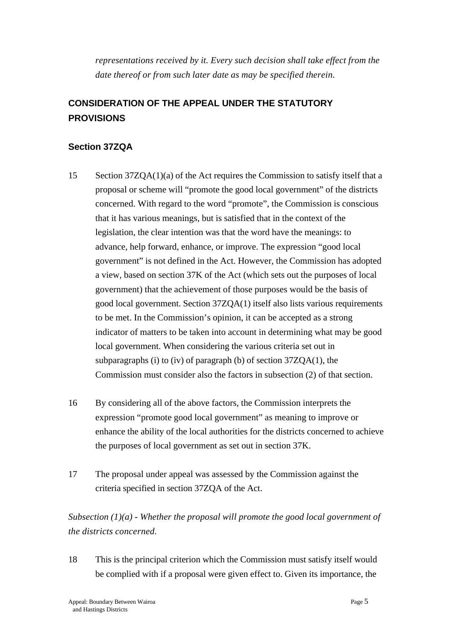*representations received by it. Every such decision shall take effect from the date thereof or from such later date as may be specified therein.*

# **CONSIDERATION OF THE APPEAL UNDER THE STATUTORY PROVISIONS**

# **Section 37ZQA**

- 15 Section 37ZQA(1)(a) of the Act requires the Commission to satisfy itself that a proposal or scheme will "promote the good local government" of the districts concerned. With regard to the word "promote", the Commission is conscious that it has various meanings, but is satisfied that in the context of the legislation, the clear intention was that the word have the meanings: to advance, help forward, enhance, or improve. The expression "good local government" is not defined in the Act. However, the Commission has adopted a view, based on section 37K of the Act (which sets out the purposes of local government) that the achievement of those purposes would be the basis of good local government. Section 37ZQA(1) itself also lists various requirements to be met. In the Commission's opinion, it can be accepted as a strong indicator of matters to be taken into account in determining what may be good local government. When considering the various criteria set out in subparagraphs (i) to (iv) of paragraph (b) of section 37ZQA(1), the Commission must consider also the factors in subsection (2) of that section.
- 16 By considering all of the above factors, the Commission interprets the expression "promote good local government" as meaning to improve or enhance the ability of the local authorities for the districts concerned to achieve the purposes of local government as set out in section 37K.
- 17 The proposal under appeal was assessed by the Commission against the criteria specified in section 37ZQA of the Act.

*Subsection (1)(a) - Whether the proposal will promote the good local government of the districts concerned.*

18 This is the principal criterion which the Commission must satisfy itself would be complied with if a proposal were given effect to. Given its importance, the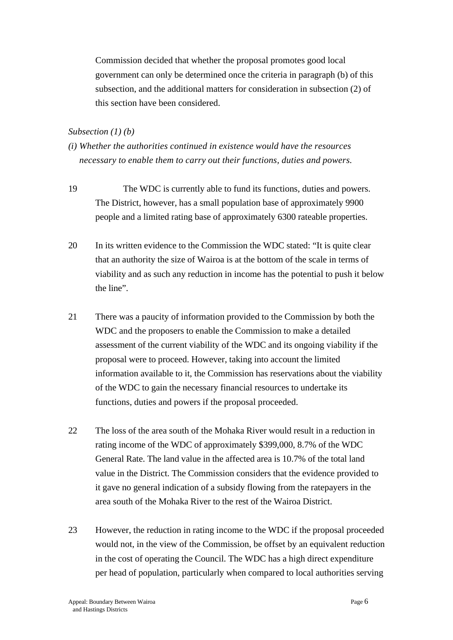Commission decided that whether the proposal promotes good local government can only be determined once the criteria in paragraph (b) of this subsection, and the additional matters for consideration in subsection (2) of this section have been considered.

#### *Subsection (1) (b)*

- *(i) Whether the authorities continued in existence would have the resources necessary to enable them to carry out their functions, duties and powers.*
- 19 The WDC is currently able to fund its functions, duties and powers. The District, however, has a small population base of approximately 9900 people and a limited rating base of approximately 6300 rateable properties.
- 20 In its written evidence to the Commission the WDC stated: "It is quite clear that an authority the size of Wairoa is at the bottom of the scale in terms of viability and as such any reduction in income has the potential to push it below the line".
- 21 There was a paucity of information provided to the Commission by both the WDC and the proposers to enable the Commission to make a detailed assessment of the current viability of the WDC and its ongoing viability if the proposal were to proceed. However, taking into account the limited information available to it, the Commission has reservations about the viability of the WDC to gain the necessary financial resources to undertake its functions, duties and powers if the proposal proceeded.
- 22 The loss of the area south of the Mohaka River would result in a reduction in rating income of the WDC of approximately \$399,000, 8.7% of the WDC General Rate. The land value in the affected area is 10.7% of the total land value in the District. The Commission considers that the evidence provided to it gave no general indication of a subsidy flowing from the ratepayers in the area south of the Mohaka River to the rest of the Wairoa District.
- 23 However, the reduction in rating income to the WDC if the proposal proceeded would not, in the view of the Commission, be offset by an equivalent reduction in the cost of operating the Council. The WDC has a high direct expenditure per head of population, particularly when compared to local authorities serving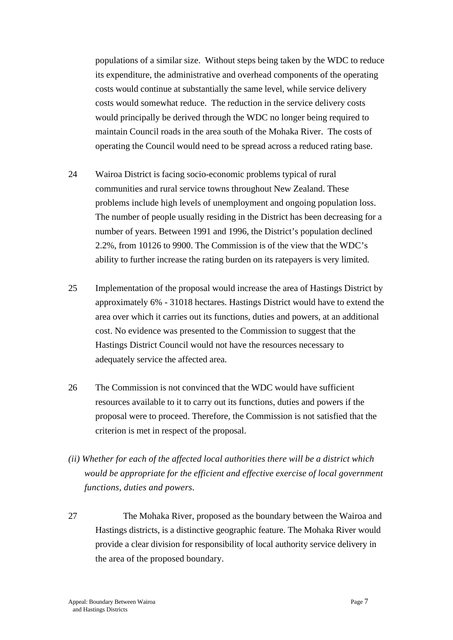populations of a similar size. Without steps being taken by the WDC to reduce its expenditure, the administrative and overhead components of the operating costs would continue at substantially the same level, while service delivery costs would somewhat reduce. The reduction in the service delivery costs would principally be derived through the WDC no longer being required to maintain Council roads in the area south of the Mohaka River. The costs of operating the Council would need to be spread across a reduced rating base.

- 24 Wairoa District is facing socio-economic problems typical of rural communities and rural service towns throughout New Zealand. These problems include high levels of unemployment and ongoing population loss. The number of people usually residing in the District has been decreasing for a number of years. Between 1991 and 1996, the District's population declined 2.2%, from 10126 to 9900. The Commission is of the view that the WDC's ability to further increase the rating burden on its ratepayers is very limited.
- 25 Implementation of the proposal would increase the area of Hastings District by approximately 6% - 31018 hectares. Hastings District would have to extend the area over which it carries out its functions, duties and powers, at an additional cost. No evidence was presented to the Commission to suggest that the Hastings District Council would not have the resources necessary to adequately service the affected area.
- 26 The Commission is not convinced that the WDC would have sufficient resources available to it to carry out its functions, duties and powers if the proposal were to proceed. Therefore, the Commission is not satisfied that the criterion is met in respect of the proposal.
- *(ii) Whether for each of the affected local authorities there will be a district which would be appropriate for the efficient and effective exercise of local government functions, duties and powers.*
- 27 The Mohaka River, proposed as the boundary between the Wairoa and Hastings districts, is a distinctive geographic feature. The Mohaka River would provide a clear division for responsibility of local authority service delivery in the area of the proposed boundary.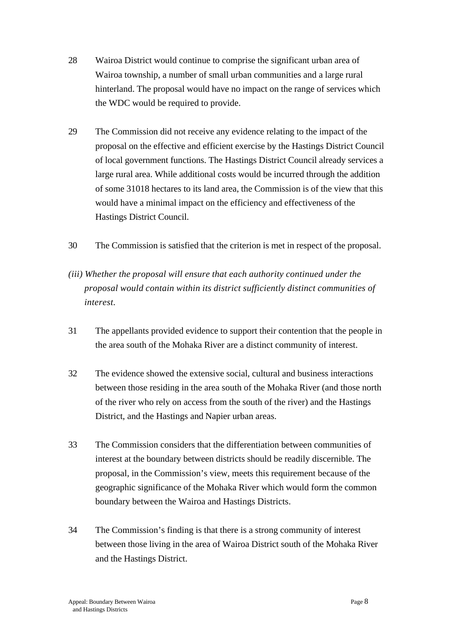- 28 Wairoa District would continue to comprise the significant urban area of Wairoa township, a number of small urban communities and a large rural hinterland. The proposal would have no impact on the range of services which the WDC would be required to provide.
- 29 The Commission did not receive any evidence relating to the impact of the proposal on the effective and efficient exercise by the Hastings District Council of local government functions. The Hastings District Council already services a large rural area. While additional costs would be incurred through the addition of some 31018 hectares to its land area, the Commission is of the view that this would have a minimal impact on the efficiency and effectiveness of the Hastings District Council.
- 30 The Commission is satisfied that the criterion is met in respect of the proposal.
- *(iii) Whether the proposal will ensure that each authority continued under the proposal would contain within its district sufficiently distinct communities of interest.*
- 31 The appellants provided evidence to support their contention that the people in the area south of the Mohaka River are a distinct community of interest.
- 32 The evidence showed the extensive social, cultural and business interactions between those residing in the area south of the Mohaka River (and those north of the river who rely on access from the south of the river) and the Hastings District, and the Hastings and Napier urban areas.
- 33 The Commission considers that the differentiation between communities of interest at the boundary between districts should be readily discernible. The proposal, in the Commission's view, meets this requirement because of the geographic significance of the Mohaka River which would form the common boundary between the Wairoa and Hastings Districts.
- 34 The Commission's finding is that there is a strong community of interest between those living in the area of Wairoa District south of the Mohaka River and the Hastings District.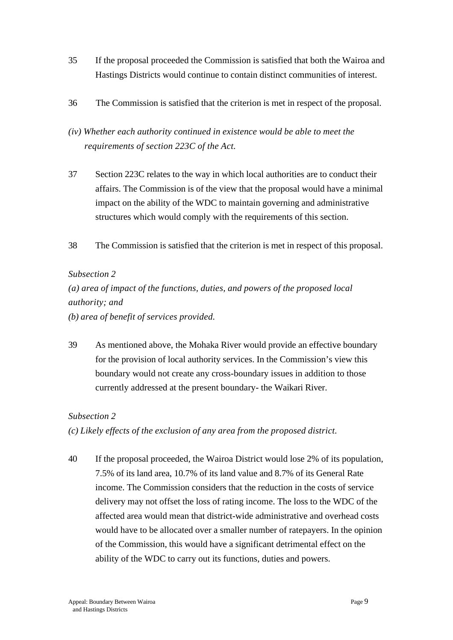- 35 If the proposal proceeded the Commission is satisfied that both the Wairoa and Hastings Districts would continue to contain distinct communities of interest.
- 36 The Commission is satisfied that the criterion is met in respect of the proposal.
- *(iv) Whether each authority continued in existence would be able to meet the requirements of section 223C of the Act.*
- 37 Section 223C relates to the way in which local authorities are to conduct their affairs. The Commission is of the view that the proposal would have a minimal impact on the ability of the WDC to maintain governing and administrative structures which would comply with the requirements of this section.
- 38 The Commission is satisfied that the criterion is met in respect of this proposal.

#### *Subsection 2*

*(a) area of impact of the functions, duties, and powers of the proposed local authority; and*

*(b) area of benefit of services provided.*

39 As mentioned above, the Mohaka River would provide an effective boundary for the provision of local authority services. In the Commission's view this boundary would not create any cross-boundary issues in addition to those currently addressed at the present boundary- the Waikari River.

#### *Subsection 2*

*(c) Likely effects of the exclusion of any area from the proposed district.*

40 If the proposal proceeded, the Wairoa District would lose 2% of its population, 7.5% of its land area, 10.7% of its land value and 8.7% of its General Rate income. The Commission considers that the reduction in the costs of service delivery may not offset the loss of rating income. The loss to the WDC of the affected area would mean that district-wide administrative and overhead costs would have to be allocated over a smaller number of ratepayers. In the opinion of the Commission, this would have a significant detrimental effect on the ability of the WDC to carry out its functions, duties and powers.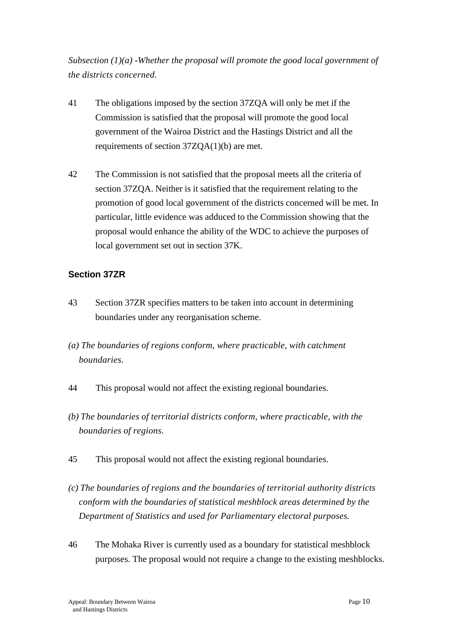*Subsection (1)(a) -Whether the proposal will promote the good local government of the districts concerned.*

- 41 The obligations imposed by the section 37ZQA will only be met if the Commission is satisfied that the proposal will promote the good local government of the Wairoa District and the Hastings District and all the requirements of section 37ZQA(1)(b) are met.
- 42 The Commission is not satisfied that the proposal meets all the criteria of section 37ZQA. Neither is it satisfied that the requirement relating to the promotion of good local government of the districts concerned will be met. In particular, little evidence was adduced to the Commission showing that the proposal would enhance the ability of the WDC to achieve the purposes of local government set out in section 37K.

### **Section 37ZR**

- 43 Section 37ZR specifies matters to be taken into account in determining boundaries under any reorganisation scheme.
- *(a) The boundaries of regions conform, where practicable, with catchment boundaries.*
- 44 This proposal would not affect the existing regional boundaries.
- *(b) The boundaries of territorial districts conform, where practicable, with the boundaries of regions.*
- 45 This proposal would not affect the existing regional boundaries.
- *(c) The boundaries of regions and the boundaries of territorial authority districts conform with the boundaries of statistical meshblock areas determined by the Department of Statistics and used for Parliamentary electoral purposes.*
- 46 The Mohaka River is currently used as a boundary for statistical meshblock purposes. The proposal would not require a change to the existing meshblocks.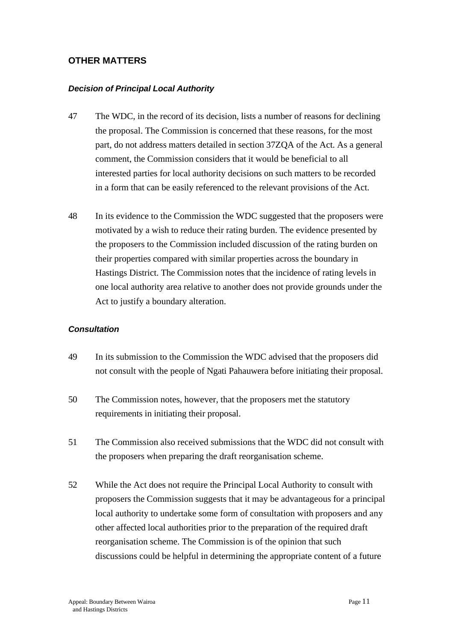#### **OTHER MATTERS**

#### *Decision of Principal Local Authority*

- 47 The WDC, in the record of its decision, lists a number of reasons for declining the proposal. The Commission is concerned that these reasons, for the most part, do not address matters detailed in section 37ZQA of the Act. As a general comment, the Commission considers that it would be beneficial to all interested parties for local authority decisions on such matters to be recorded in a form that can be easily referenced to the relevant provisions of the Act.
- 48 In its evidence to the Commission the WDC suggested that the proposers were motivated by a wish to reduce their rating burden. The evidence presented by the proposers to the Commission included discussion of the rating burden on their properties compared with similar properties across the boundary in Hastings District. The Commission notes that the incidence of rating levels in one local authority area relative to another does not provide grounds under the Act to justify a boundary alteration.

#### *Consultation*

- 49 In its submission to the Commission the WDC advised that the proposers did not consult with the people of Ngati Pahauwera before initiating their proposal.
- 50 The Commission notes, however, that the proposers met the statutory requirements in initiating their proposal.
- 51 The Commission also received submissions that the WDC did not consult with the proposers when preparing the draft reorganisation scheme.
- 52 While the Act does not require the Principal Local Authority to consult with proposers the Commission suggests that it may be advantageous for a principal local authority to undertake some form of consultation with proposers and any other affected local authorities prior to the preparation of the required draft reorganisation scheme. The Commission is of the opinion that such discussions could be helpful in determining the appropriate content of a future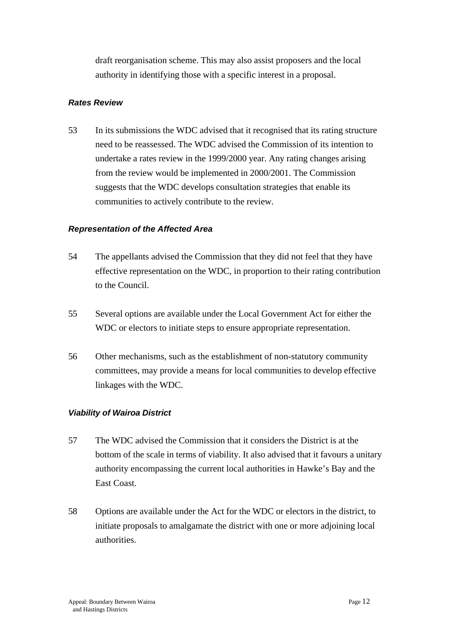draft reorganisation scheme. This may also assist proposers and the local authority in identifying those with a specific interest in a proposal.

#### *Rates Review*

53 In its submissions the WDC advised that it recognised that its rating structure need to be reassessed. The WDC advised the Commission of its intention to undertake a rates review in the 1999/2000 year. Any rating changes arising from the review would be implemented in 2000/2001. The Commission suggests that the WDC develops consultation strategies that enable its communities to actively contribute to the review.

#### *Representation of the Affected Area*

- 54 The appellants advised the Commission that they did not feel that they have effective representation on the WDC, in proportion to their rating contribution to the Council.
- 55 Several options are available under the Local Government Act for either the WDC or electors to initiate steps to ensure appropriate representation.
- 56 Other mechanisms, such as the establishment of non-statutory community committees, may provide a means for local communities to develop effective linkages with the WDC.

#### *Viability of Wairoa District*

- 57 The WDC advised the Commission that it considers the District is at the bottom of the scale in terms of viability. It also advised that it favours a unitary authority encompassing the current local authorities in Hawke's Bay and the East Coast.
- 58 Options are available under the Act for the WDC or electors in the district, to initiate proposals to amalgamate the district with one or more adjoining local authorities.